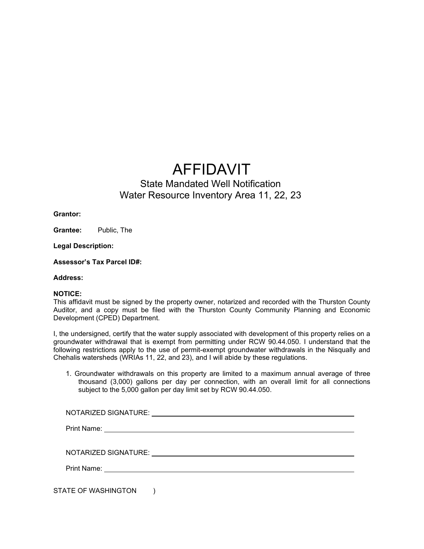## AFFIDAVIT

## State Mandated Well Notification Water Resource Inventory Area 11, 22, 23

**Grantor:**

**Grantee:** Public, The

**Legal Description:**

**Assessor's Tax Parcel ID#:**

**Address:**

## **NOTICE:**

This affidavit must be signed by the property owner, notarized and recorded with the Thurston County Auditor, and a copy must be filed with the Thurston County Community Planning and Economic Development (CPED) Department.

I, the undersigned, certify that the water supply associated with development of this property relies on a groundwater withdrawal that is exempt from permitting under RCW 90.44.050. I understand that the following restrictions apply to the use of permit-exempt groundwater withdrawals in the Nisqually and Chehalis watersheds (WRIAs 11, 22, and 23), and I will abide by these regulations.

1. Groundwater withdrawals on this property are limited to a maximum annual average of three thousand (3,000) gallons per day per connection, with an overall limit for all connections subject to the 5,000 gallon per day limit set by RCW 90.44.050.

|                     | NOTARIZED SIGNATURE: University of the SIGNATURE: |  |  |
|---------------------|---------------------------------------------------|--|--|
|                     |                                                   |  |  |
|                     |                                                   |  |  |
| STATE OF WASHINGTON |                                                   |  |  |